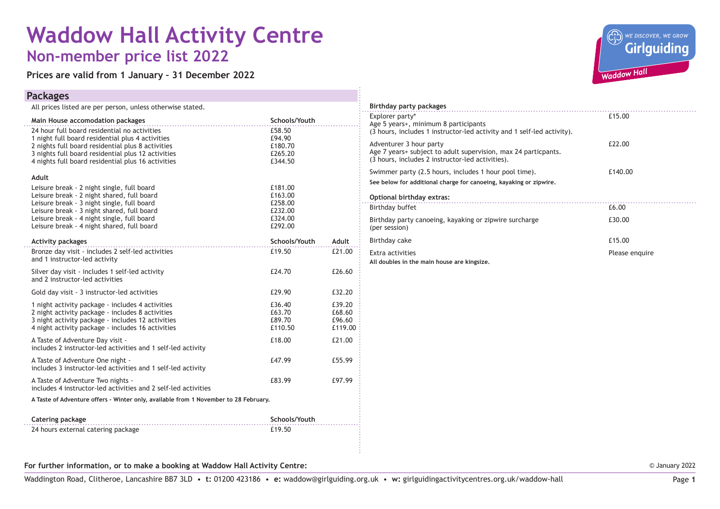# **Waddow Hall Activity Centre Non-member price list 2022**

**Prices are valid from 1 January – 31 December 2022**

#### **Packages**

| All prices listed are per person, unless otherwise stated.                                                                                                                                                     |                                       |                                       |
|----------------------------------------------------------------------------------------------------------------------------------------------------------------------------------------------------------------|---------------------------------------|---------------------------------------|
| Main House accomodation packages                                                                                                                                                                               | Schools/Youth                         |                                       |
| 24 hour full board residential no activities<br>1 night full board residential plus 4 activities<br>2 nights full board residential plus 8 activities                                                          | £58.50<br>£94.90<br>£180.70           |                                       |
| 3 nights full board residential plus 12 activities<br>4 nights full board residential plus 16 activities                                                                                                       | £265.20<br>£344.50                    |                                       |
| Adult                                                                                                                                                                                                          |                                       |                                       |
| Leisure break - 2 night single, full board<br>Leisure break - 2 night shared, full board<br>Leisure break - 3 night single, full board                                                                         | £181.00<br>£163.00<br>£258.00         |                                       |
| Leisure break - 3 night shared, full board<br>Leisure break - 4 night single, full board<br>Leisure break - 4 night shared, full board                                                                         | £232.00<br>£324.00<br>£292.00         |                                       |
| <b>Activity packages</b>                                                                                                                                                                                       | Schools/Youth                         | Adult                                 |
| Bronze day visit - includes 2 self-led activities<br>and 1 instructor-led activity                                                                                                                             | £19.50                                | £21.00                                |
| Silver day visit - includes 1 self-led activity<br>and 2 instructor-led activities                                                                                                                             | £24.70                                | £26.60                                |
| Gold day visit - 3 instructor-led activities                                                                                                                                                                   | £29.90                                | £32.20                                |
| 1 night activity package - includes 4 activities<br>2 night activity package - includes 8 activities<br>3 night activity package - includes 12 activities<br>4 night activity package - includes 16 activities | £36.40<br>£63.70<br>£89.70<br>£110.50 | £39.20<br>£68.60<br>£96.60<br>£119.00 |
| A Taste of Adventure Day visit -<br>includes 2 instructor-led activities and 1 self-led activity                                                                                                               | £18.00                                | £21.00                                |
| A Taste of Adventure One night -<br>includes 3 instructor-led activities and 1 self-led activity                                                                                                               | £47.99                                | £55.99                                |
| A Taste of Adventure Two nights -<br>includes 4 instructor-led activities and 2 self-led activities                                                                                                            | £83.99                                | £97.99                                |
| A Taste of Adventure offers - Winter only, available from 1 November to 28 February.                                                                                                                           |                                       |                                       |
| Catering package                                                                                                                                                                                               | Schools/Youth                         |                                       |

| Catering package                   | Schools/Youth |
|------------------------------------|---------------|
| 24 hours external catering package | £19.50        |



| Birthday party packages                                                                                                                       |                |
|-----------------------------------------------------------------------------------------------------------------------------------------------|----------------|
| Explorer party*<br>Age 5 years+, minimum 8 participants<br>(3 hours, includes 1 instructor-led activity and 1 self-led activity).             | £15.00         |
| Adventurer 3 hour party<br>Age 7 years+ subject to adult supervision, max 24 particpants.<br>(3 hours, includes 2 instructor-led activities). | £22.00         |
| Swimmer party (2.5 hours, includes 1 hour pool time).                                                                                         | £140.00        |
| See below for additional charge for canoeing, kayaking or zipwire.                                                                            |                |
| Optional birthday extras:                                                                                                                     |                |
| Birthday buffet                                                                                                                               | £6.00          |
| Birthday party canoeing, kayaking or zipwire surcharge<br>(per session)                                                                       | £30.00         |
| Birthday cake                                                                                                                                 | £15.00         |
| Extra activities<br>All doubles in the main house are kingsize.                                                                               | Please enquire |

**For further information, or to make a booking at Waddow Hall Activity Centre:**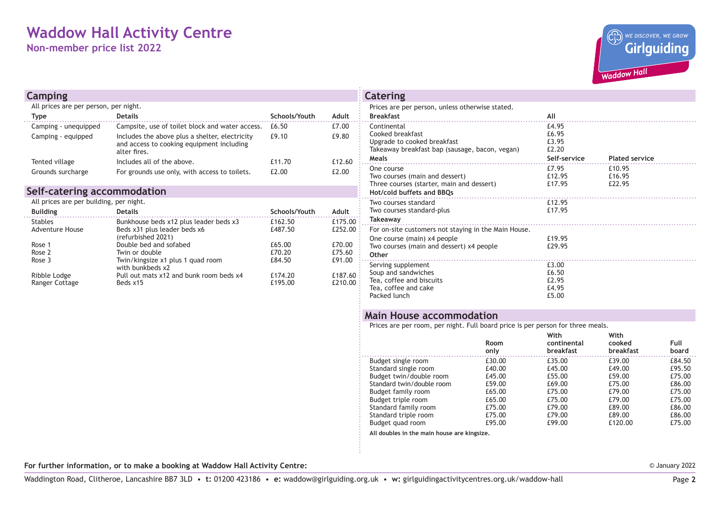# **Waddow Hall Activity Centre**

**Non-member price list 2022**



| Camping                                 |                                                                                                             |               |           | Catering                                                                                        |
|-----------------------------------------|-------------------------------------------------------------------------------------------------------------|---------------|-----------|-------------------------------------------------------------------------------------------------|
| All prices are per person, per night.   |                                                                                                             |               |           | Prices are per person, unless otherwise stated.                                                 |
| <b>Type</b>                             | <b>Details</b>                                                                                              | Schools/Youth | Adult     | <b>Breakfast</b>                                                                                |
| Camping - unequipped                    | Campsite, use of toilet block and water access.                                                             | £6.50         | £7.00     | Continental                                                                                     |
| Camping - equipped                      | Includes the above plus a shelter, electricity<br>and access to cooking equipment including<br>alter fires. | £9.10         | £9.80     | Cooked breakfast<br>Upgrade to cooked breakfast<br>Takeaway breakfast bap (sausage, bacon, yega |
| Tented village                          | Includes all of the above.                                                                                  | £11.70        | £12.60    | Meals                                                                                           |
| Grounds surcharge                       | For grounds use only, with access to toilets.                                                               | £2.00         | £2.00     | One course<br>Two courses (main and dessert)<br>Three courses (starter, main and dessert)       |
| Self-catering accommodation             |                                                                                                             |               |           | Hot/cold buffets and BBQs                                                                       |
| All prices are per building, per night. |                                                                                                             |               |           | Two courses standard                                                                            |
| <b>Building</b>                         | <b>Details</b>                                                                                              | Schools/Youth | Adult     | Two courses standard-plus                                                                       |
| <b>Stables</b>                          | Bunkhouse beds x12 plus leader beds x3                                                                      | £162.50       | £175.00 : | Takeaway                                                                                        |
| Adventure House                         | Beds x31 plus leader beds x6<br>(refurbished 2021)                                                          | £487.50       | £252.00 : | For on-site customers not staying in the Main H<br>One course (main) x4 people                  |
| Rose 1                                  | Double bed and sofabed                                                                                      | £65.00        | £70.00    | Two courses (main and dessert) x4 people                                                        |

| <b>Building</b><br><b>Details</b>     |                                                       | Schools/Youth      | Adult              |  |
|---------------------------------------|-------------------------------------------------------|--------------------|--------------------|--|
| <b>Stables</b>                        | Bunkhouse beds x12 plus leader beds x3                | £162.50            | £175.00            |  |
| Adventure House                       | Beds x31 plus leader beds x6<br>(refurbished 2021)    | £487.50            | £252.00            |  |
| Rose 1                                | Double bed and sofabed                                | £65.00             | £70.00             |  |
| Rose 2                                | Twin or double                                        | £70.20             | £75.60             |  |
| Rose 3                                | Twin/kingsize x1 plus 1 quad room<br>with bunkbeds x2 | £84.50             | £91.00             |  |
| Ribble Lodge<br><b>Ranger Cottage</b> | Pull out mats x12 and bunk room beds x4<br>Beds x15   | £174.20<br>£195.00 | £187.60<br>£210.00 |  |

| <b>CALLING</b>                                                                                                                           |                                                  |                            |
|------------------------------------------------------------------------------------------------------------------------------------------|--------------------------------------------------|----------------------------|
| Prices are per person, unless otherwise stated.<br><b>Breakfast</b>                                                                      | All                                              |                            |
| Continental<br>Cooked breakfast<br>Upgrade to cooked breakfast<br>Takeaway breakfast bap (sausage, bacon, vegan)<br>Meals                | £4.95<br>£6.95<br>£3.95<br>£2.20<br>Self-service | <b>Plated service</b>      |
| One course<br>Two courses (main and dessert)<br>Three courses (starter, main and dessert)<br>Hot/cold buffets and BBQs                   | £7.95<br>£12.95<br>£17.95                        | £10.95<br>£16.95<br>£22.95 |
| Two courses standard<br>Two courses standard-plus<br>Takeaway                                                                            | £12.95<br>£17.95                                 |                            |
| For on-site customers not staying in the Main House.<br>One course (main) x4 people<br>Two courses (main and dessert) x4 people<br>Other | £19.95<br>£29.95                                 |                            |
| Serving supplement<br>Soup and sandwiches<br>Tea, coffee and biscuits<br>Tea, coffee and cake<br>Packed lunch                            | £3.00<br>£6.50<br>£2.95<br>£4.95<br>£5.00        |                            |

#### **Main House accommodation**

Prices are per room, per night. Full board price is per person for three meals.

|                           | <b>Room</b><br>only | With<br>continental<br>breakfast | With<br>cooked<br>breakfast | Full<br>board |
|---------------------------|---------------------|----------------------------------|-----------------------------|---------------|
| Budget single room        | £30.00              | £35.00                           | £39.00                      | £84.50        |
| Standard single room      | £40.00              | £45.00                           | £49.00                      | £95.50        |
| Budget twin/double room   | £45.00              | £55.00                           | £59.00                      | £75.00        |
| Standard twin/double room | £59.00              | £69.00                           | £75.00                      | £86.00        |
| Budget family room        | £65.00              | £75.00                           | £79.00                      | £75.00        |
| Budget triple room        | £65.00              | £75.00                           | £79.00                      | £75.00        |
| Standard family room      | £75.00              | £79.00                           | £89.00                      | £86.00        |
| Standard triple room      | £75.00              | £79.00                           | £89.00                      | £86.00        |
| Budget quad room          | £95.00              | £99.00                           | £120.00                     | £75.00        |
|                           |                     |                                  |                             |               |

**All doubles in the main house are kingsize.**

**For further information, or to make a booking at Waddow Hall Activity Centre:**